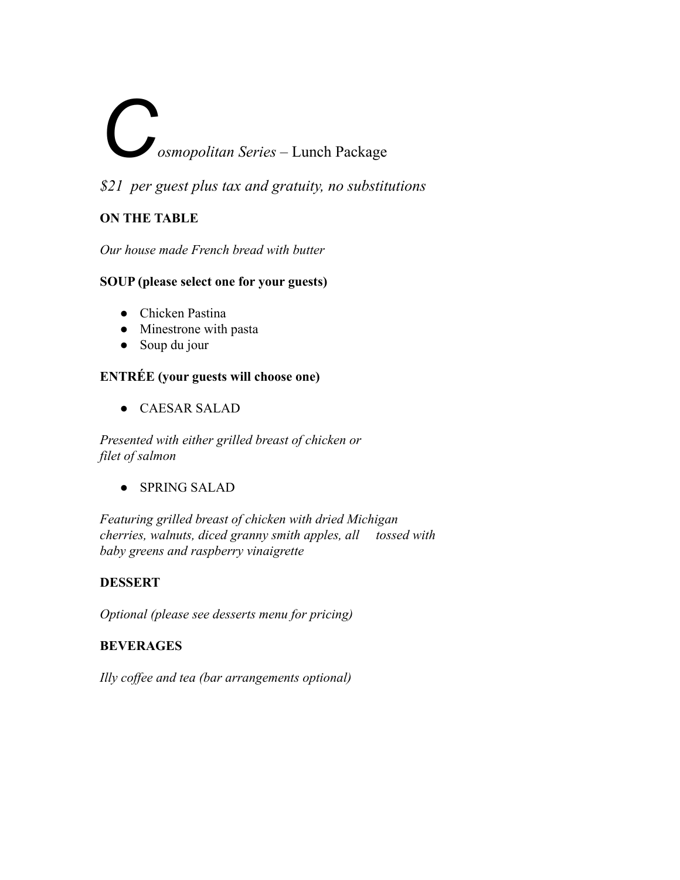# *C***osmopolitan Series** – Lunch Package

*\$21 per guest plus tax and gratuity, no substitutions*

#### **ON THE TABLE**

*Our house made French bread with butter*

#### **SOUP (please select one for your guests)**

- Chicken Pastina
- Minestrone with pasta
- Soup du jour

#### **ENTRÉE (your guests will choose one)**

*●* CAESAR SALAD

*Presented with either grilled breast of chicken or filet of salmon*

*●* SPRING SALAD

*Featuring grilled breast of chicken with dried Michigan cherries, walnuts, diced granny smith apples, all tossed with baby greens and raspberry vinaigrette*

#### **DESSERT**

*Optional (please see desserts menu for pricing)*

#### **BEVERAGES**

*Illy coffee and tea (bar arrangements optional)*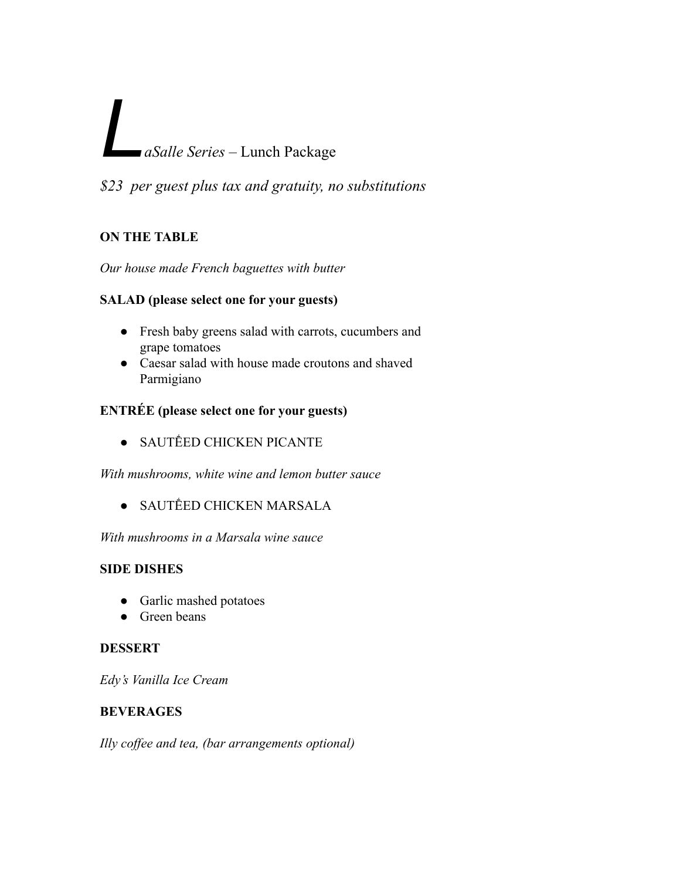### *LaSalle Series* – Lunch Package

*\$23 per guest plus tax and gratuity, no substitutions*

#### **ON THE TABLE**

#### *Our house made French baguettes with butter*

#### **SALAD (please select one for your guests)**

- **●** Fresh baby greens salad with carrots, cucumbers and grape tomatoes
- **●** Caesar salad with house made croutons and shaved Parmigiano

#### **ENTRÉE (please select one for your guests)**

**• SAUTÉED CHICKEN PICANTE** 

*With mushrooms, white wine and lemon butter sauce*

• SAUTÉED CHICKEN MARSALA

*With mushrooms in a Marsala wine sauce*

#### **SIDE DISHES**

- **●** Garlic mashed potatoes
- **●** Green beans

#### **DESSERT**

*Edy's Vanilla Ice Cream*

#### **BEVERAGES**

*Illy coffee and tea, (bar arrangements optional)*